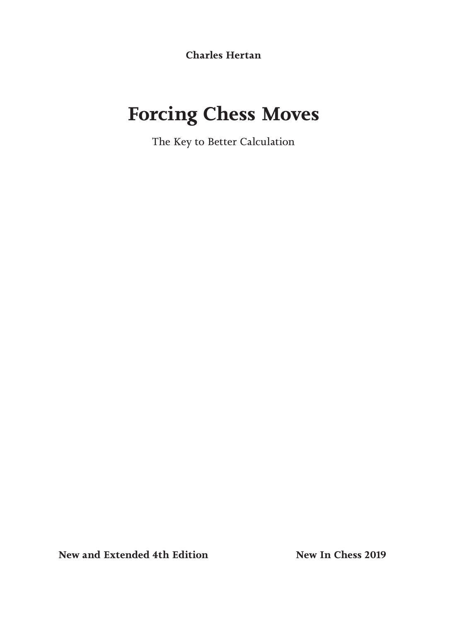**Charles Hertan**

# **Forcing Chess Moves**

The Key to Better Calculation

New and Extended 4th Edition New In Chess 2019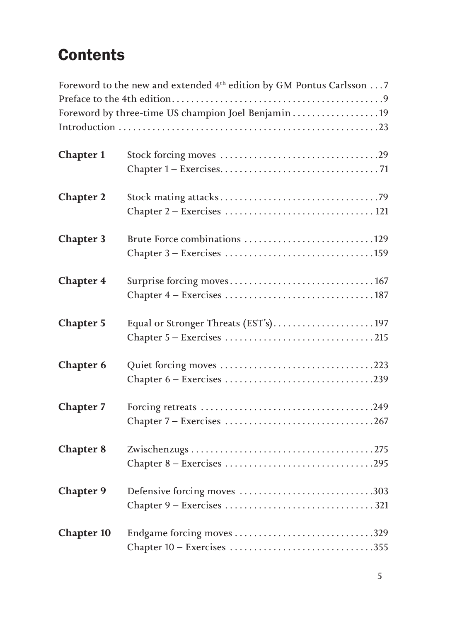# **Contents**

|                   | Foreword to the new and extended 4 <sup>th</sup> edition by GM Pontus Carlsson 7 |
|-------------------|----------------------------------------------------------------------------------|
|                   |                                                                                  |
|                   |                                                                                  |
|                   |                                                                                  |
| Chapter 1         |                                                                                  |
|                   |                                                                                  |
| <b>Chapter 2</b>  |                                                                                  |
|                   |                                                                                  |
| <b>Chapter 3</b>  | Brute Force combinations 129                                                     |
|                   |                                                                                  |
| <b>Chapter 4</b>  |                                                                                  |
|                   |                                                                                  |
| <b>Chapter 5</b>  |                                                                                  |
|                   |                                                                                  |
| Chapter 6         |                                                                                  |
|                   |                                                                                  |
| <b>Chapter 7</b>  |                                                                                  |
|                   |                                                                                  |
| <b>Chapter 8</b>  |                                                                                  |
|                   |                                                                                  |
| <b>Chapter 9</b>  | Defensive forcing moves 303                                                      |
|                   |                                                                                  |
| <b>Chapter 10</b> | Endgame forcing moves 329                                                        |
|                   | Chapter 10 - Exercises 355                                                       |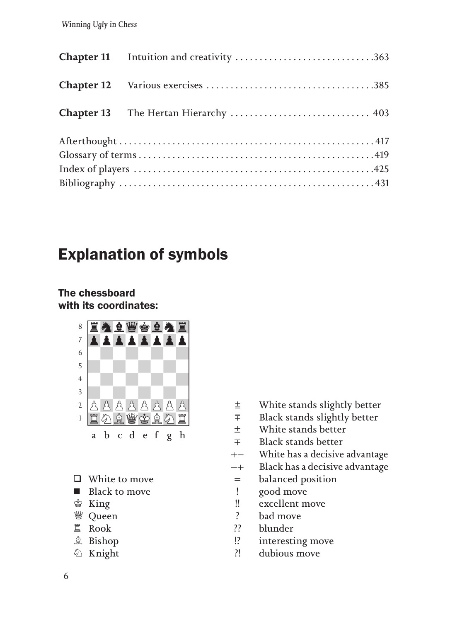|  | Chapter 11 Intuition and creativity 363 |
|--|-----------------------------------------|
|  |                                         |
|  | Chapter 13 The Hertan Hierarchy  403    |
|  |                                         |
|  |                                         |
|  |                                         |
|  |                                         |

# Explanation of symbols

#### The chessboard with its coordinates:



- $\Box$  White to move
- Black to move
- ♔ King
- **響 Queen**
- ♖ Rook
- ♗ Bishop
- ♘ Knight
- $\pm$  White stands slightly better
- $\overline{F}$  Black stands slightly better
- White stands better
- $\mp$  Black stands better
- White has a decisive advantage
- $-+$  Black has a decisive advantage
- balanced position
- ! good move
- !! excellent move
- ? bad move
- ?? blunder
- !? interesting move
- ?! dubious move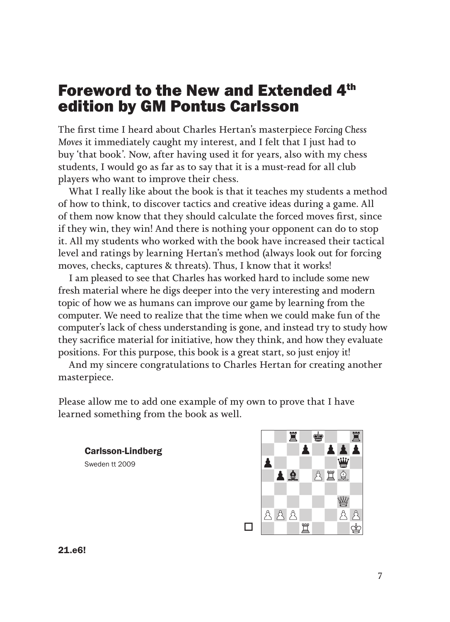# Foreword to the New and Extended 4th edition by GM Pontus Carlsson

The first time I heard about Charles Hertan's masterpiece *Forcing Chess Moves* it immediately caught my interest, and I felt that I just had to buy 'that book'. Now, after having used it for years, also with my chess students, I would go as far as to say that it is a must-read for all club players who want to improve their chess.

What I really like about the book is that it teaches my students a method of how to think, to discover tactics and creative ideas during a game. All of them now know that they should calculate the forced moves first, since if they win, they win! And there is nothing your opponent can do to stop it. All my students who worked with the book have increased their tactical level and ratings by learning Hertan's method (always look out for forcing moves, checks, captures & threats). Thus, I know that it works!

I am pleased to see that Charles has worked hard to include some new fresh material where he digs deeper into the very interesting and modern topic of how we as humans can improve our game by learning from the computer. We need to realize that the time when we could make fun of the computer's lack of chess understanding is gone, and instead try to study how they sacrifice material for initiative, how they think, and how they evaluate positions. For this purpose, this book is a great start, so just enjoy it!

And my sincere congratulations to Charles Hertan for creating another masterpiece.

Please allow me to add one example of my own to prove that I have learned something from the book as well.

Carlsson-Lindberg Sweden tt 2009



21.e6!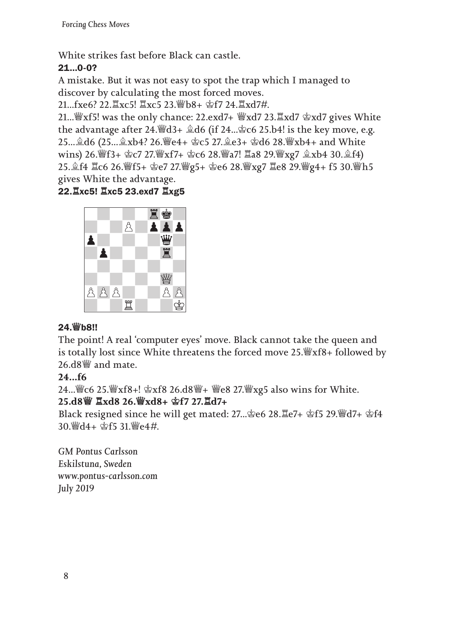White strikes fast before Black can castle.

### 21...0-0?

A mistake. But it was not easy to spot the trap which I managed to discover by calculating the most forced moves.

21...fxe6? 22.♖xc5! ♖xc5 23.♕b8+ ♔f7 24.♖xd7#.

21...♕xf5! was the only chance: 22.exd7+ ♕xd7 23.♖xd7 ♔xd7 gives White the advantage after 24.♕d3+ ♗d6 (if 24...♔c6 25.b4! is the key move, e.g. 25...♗d6 (25...♗xb4? 26.♕e4+ ♔c5 27.♗e3+ ♔d6 28.♕xb4+ and White wins) 26.♕f3+ ♔c7 27.♕xf7+ ♔c6 28.♕a7! ♖a8 29.♕xg7 ♗xb4 30.♗f4) 25.♗f4 ♖c6 26.♕f5+ ♔e7 27.♕g5+ ♔e6 28.♕xg7 ♖e8 29.♕g4+ f5 30.♕h5 gives White the advantage.

22.♖xc5! ♖xc5 23.exd7 ♖xg5



#### 24.♕b8!!

The point! A real 'computer eyes' move. Black cannot take the queen and is totally lost since White threatens the forced move 25.♕xf8+ followed by  $26.$  d8 $\frac{100}{26}$  and mate.

#### **24...f6**

24...♕c6 25.♕xf8+! ♔xf8 26.d8♕+ ♕e8 27.♕xg5 also wins for White.

#### **25.d8♕ ♖xd8 26.♕xd8+ ♔f7 27.♖d7+**

Black resigned since he will get mated: 27...♔e6 28.♖e7+ ♔f5 29.♕d7+ ♔f4 30.♕d4+ ♔f5 31.♕e4#.

*GM Pontus Carlsson Eskilstuna, Sweden www.pontus-carlsson.com July 2019*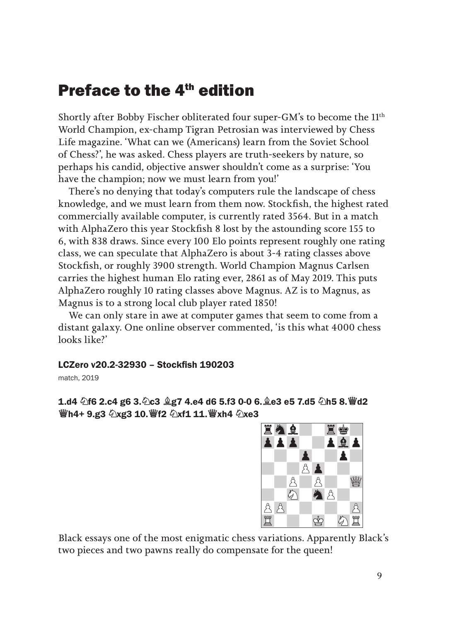# Preface to the 4<sup>th</sup> edition

Shortly after Bobby Fischer obliterated four super-GM's to become the  $11<sup>th</sup>$ World Champion, ex-champ Tigran Petrosian was interviewed by Chess Life magazine. 'What can we (Americans) learn from the Soviet School of Chess?', he was asked. Chess players are truth-seekers by nature, so perhaps his candid, objective answer shouldn't come as a surprise: 'You have the champion; now we must learn from you!'

There's no denying that today's computers rule the landscape of chess knowledge, and we must learn from them now. Stockfish, the highest rated commercially available computer, is currently rated 3564. But in a match with AlphaZero this year Stockfish 8 lost by the astounding score 155 to 6, with 838 draws. Since every 100 Elo points represent roughly one rating class, we can speculate that AlphaZero is about 3-4 rating classes above Stockfish, or roughly 3900 strength. World Champion Magnus Carlsen carries the highest human Elo rating ever, 2861 as of May 2019. This puts AlphaZero roughly 10 rating classes above Magnus. AZ is to Magnus, as Magnus is to a strong local club player rated 1850!

We can only stare in awe at computer games that seem to come from a distant galaxy. One online observer commented, 'is this what 4000 chess looks like?'

#### LCZero v20.2-32930 – Stockfish 190203

match, 2019

1.d4 ♘f6 2.c4 g6 3.♘c3 ♗g7 4.e4 d6 5.f3 0-0 6.♗e3 e5 7.d5 ♘h5 8.♕d2 ♕h4+ 9.g3 ♘xg3 10.♕f2 ♘xf1 11.♕xh4 ♘xe3



Black essays one of the most enigmatic chess variations. Apparently Black's two pieces and two pawns really do compensate for the queen!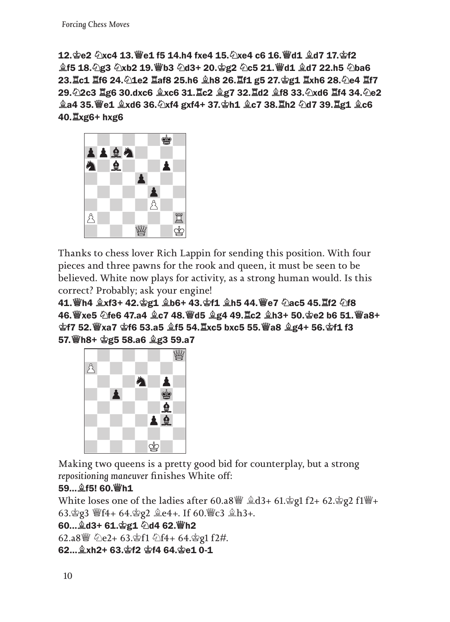12.♔e2 ♘xc4 13.♕e1 f5 14.h4 fxe4 15.♘xe4 c6 16.♕d1 ♗d7 17.♔f2 ♗f5 18.♘g3 ♘xb2 19.♕b3 ♘d3+ 20.♔g2 ♘c5 21.♕d1 ♗d7 22.h5 ♘ba6 23.♖c1 ♖f6 24.♘1e2 ♖af8 25.h6 ♗h8 26.♖f1 g5 27.♔g1 ♖xh6 28.♘e4 ♖f7 29.♘2c3 ♖g6 30.dxc6 ♗xc6 31.♖c2 ♗g7 32.♖d2 ♗f8 33.♘xd6 ♖f4 34.♘e2 ♗a4 35.♕e1 ♗xd6 36.♘xf4 gxf4+ 37.♔h1 ♗c7 38.♖h2 ♘d7 39.♖g1 ♗c6 40.♖xg6+ hxg6



Thanks to chess lover Rich Lappin for sending this position. With four pieces and three pawns for the rook and queen, it must be seen to be believed. White now plays for activity, as a strong human would. Is this correct? Probably; ask your engine!

41.♕h4 ♗xf3+ 42.♔g1 ♗b6+ 43.♔f1 ♗h5 44.♕e7 ♘ac5 45.♖f2 ♘f8 46.♕xe5 ♘fe6 47.a4 ♗c7 48.♕d5 ♗g4 49.♖c2 ♗h3+ 50.♔e2 b6 51.♕a8+ ♔f7 52.♕xa7 ♔f6 53.a5 ♗f5 54.♖xc5 bxc5 55.♕a8 ♗g4+ 56.♔f1 f3 57.♕h8+ ♔g5 58.a6 ♗g3 59.a7



Making two queens is a pretty good bid for counterplay, but a strong *repositioning maneuver* finishes White off:

#### 59...♗f5! 60.♕h1

White loses one of the ladies after 60.a8♕ ♗d3+ 61.♔g1 f2+ 62.♔g2 f1♕+ 63.♔g3 ♕f4+ 64.♔g2 ♗e4+. If 60.♕c3 ♗h3+. 60...♗d3+ 61.♔g1 ♘d4 62.♕h2 62.a8♕ ♘e2+ 63.♔f1 ♘f4+ 64.♔g1 f2#. 62...♗xh2+ 63.♔f2 ♔f4 64.♔e1 0-1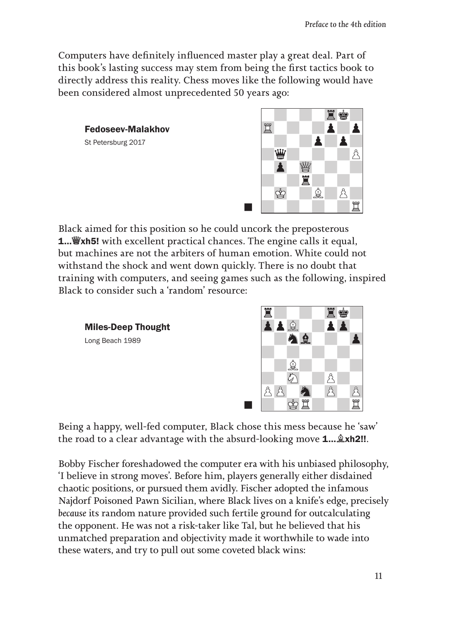Computers have definitely influenced master play a great deal. Part of this book's lasting success may stem from being the first tactics book to directly address this reality. Chess moves like the following would have been considered almost unprecedented 50 years ago:

Fedoseev-Malakhov St Petersburg 2017



Black aimed for this position so he could uncork the preposterous **1... wxh5!** with excellent practical chances. The engine calls it equal, but machines are not the arbiters of human emotion. White could not withstand the shock and went down quickly. There is no doubt that training with computers, and seeing games such as the following, inspired Black to consider such a 'random' resource:

Miles-Deep Thought Long Beach 1989



Being a happy, well-fed computer, Black chose this mess because he 'saw' the road to a clear advantage with the absurd-looking move 1...♗xh2!!.

Bobby Fischer foreshadowed the computer era with his unbiased philosophy, 'I believe in strong moves'. Before him, players generally either disdained chaotic positions, or pursued them avidly. Fischer adopted the infamous Najdorf Poisoned Pawn Sicilian, where Black lives on a knife's edge, precisely *because* its random nature provided such fertile ground for outcalculating the opponent. He was not a risk-taker like Tal, but he believed that his unmatched preparation and objectivity made it worthwhile to wade into these waters, and try to pull out some coveted black wins: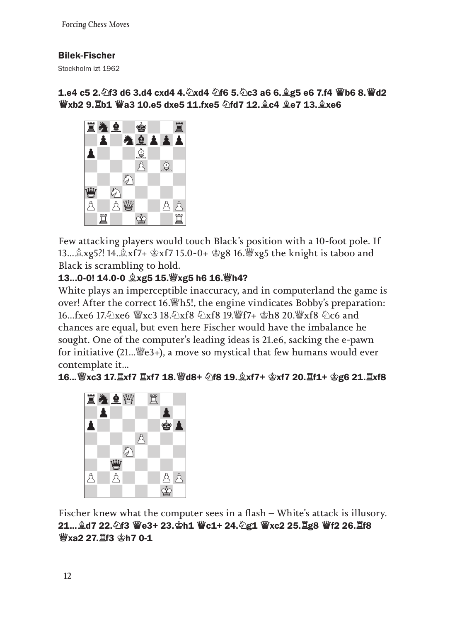*Forcing Chess Moves*

#### Bilek-Fischer

Stockholm izt 1962

1.e4 c5 2.♘f3 d6 3.d4 cxd4 4.♘xd4 ♘f6 5.♘c3 a6 6.♗g5 e6 7.f4 ♕b6 8.♕d2 ♕xb2 9.♖b1 ♕a3 10.e5 dxe5 11.fxe5 ♘fd7 12.♗c4 ♗e7 13.♗xe6



Few attacking players would touch Black's position with a 10-foot pole. If 13...♗xg5?! 14.♗xf7+ ♔xf7 15.0-0+ ♔g8 16.♕xg5 the knight is taboo and Black is scrambling to hold.

#### 13...0-0! 14.0-0 ♗xg5 15.♕xg5 h6 16.♕h4?

White plays an imperceptible inaccuracy, and in computerland the game is over! After the correct 16.♕h5!, the engine vindicates Bobby's preparation: 16...fxe6 17.♘xe6 ♕xc3 18.♘xf8 ♘xf8 19.♕f7+ ♔h8 20.♕xf8 ♘c6 and chances are equal, but even here Fischer would have the imbalance he sought. One of the computer's leading ideas is 21.e6, sacking the e-pawn for initiative (21...♕e3+), a move so mystical that few humans would ever contemplate it...

16...♕xc3 17.♖xf7 ♖xf7 18.♕d8+ ♘f8 19.♗xf7+ ♔xf7 20.♖f1+ ♔g6 21.♖xf8



Fischer knew what the computer sees in a flash – White's attack is illusory. 21...♗d7 22.♘f3 ♕e3+ 23.♔h1 ♕c1+ 24.♘g1 ♕xc2 25.♖g8 ♕f2 26.♖f8 ♕xa2 27.♖f3 ♔h7 0-1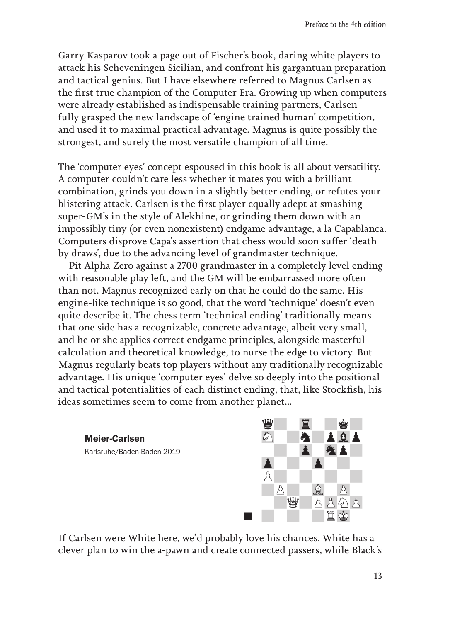Garry Kasparov took a page out of Fischer's book, daring white players to attack his Scheveningen Sicilian, and confront his gargantuan preparation and tactical genius. But I have elsewhere referred to Magnus Carlsen as the first true champion of the Computer Era. Growing up when computers were already established as indispensable training partners, Carlsen fully grasped the new landscape of 'engine trained human' competition, and used it to maximal practical advantage. Magnus is quite possibly the strongest, and surely the most versatile champion of all time.

The 'computer eyes' concept espoused in this book is all about versatility. A computer couldn't care less whether it mates you with a brilliant combination, grinds you down in a slightly better ending, or refutes your blistering attack. Carlsen is the first player equally adept at smashing super-GM's in the style of Alekhine, or grinding them down with an impossibly tiny (or even nonexistent) endgame advantage, a la Capablanca. Computers disprove Capa's assertion that chess would soon suffer 'death by draws', due to the advancing level of grandmaster technique.

Pit Alpha Zero against a 2700 grandmaster in a completely level ending with reasonable play left, and the GM will be embarrassed more often than not. Magnus recognized early on that he could do the same. His engine-like technique is so good, that the word 'technique' doesn't even quite describe it. The chess term 'technical ending' traditionally means that one side has a recognizable, concrete advantage, albeit very small, and he or she applies correct endgame principles, alongside masterful calculation and theoretical knowledge, to nurse the edge to victory. But Magnus regularly beats top players without any traditionally recognizable advantage. His unique 'computer eyes' delve so deeply into the positional and tactical potentialities of each distinct ending, that, like Stockfish, his ideas sometimes seem to come from another planet...

#### Meier-Carlsen

Karlsruhe/Baden-Baden 2019



If Carlsen were White here, we'd probably love his chances. White has a clever plan to win the a-pawn and create connected passers, while Black's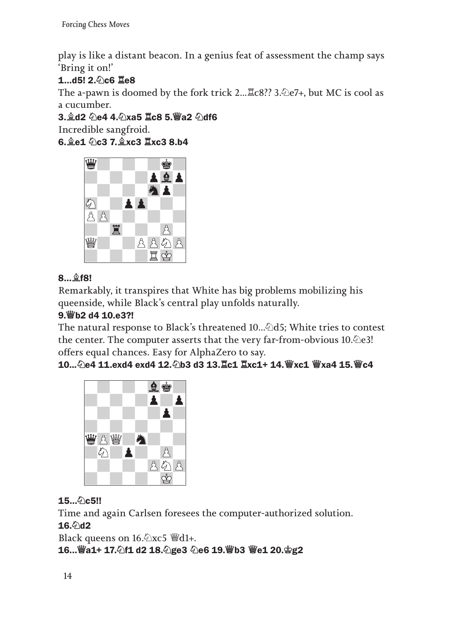play is like a distant beacon. In a genius feat of assessment the champ says 'Bring it on!'

## 1...d5! 2.♘c6 ♖e8

The a-pawn is doomed by the fork trick 2...♖c8?? 3.♘e7+, but MC is cool as a cucumber.

3. 2d2 公e4 4. 公xa5 耳c8 5. 彎a2 公df6

Incredible sangfroid.

6.♗e1 ♘c3 7.♗xc3 ♖xc3 8.b4



## 8...♗f8!

Remarkably, it transpires that White has big problems mobilizing his queenside, while Black's central play unfolds naturally.

#### 9.♕b2 d4 10.e3?!

The natural response to Black's threatened 10...♘d5; White tries to contest the center. The computer asserts that the very far-from-obvious 10. $\Diamond$ e3! offers equal chances. Easy for AlphaZero to say.

10...♘e4 11.exd4 exd4 12.♘b3 d3 13.♖c1 ♖xc1+ 14.♕xc1 ♕xa4 15.♕c4



## 15... 2c5!!

Time and again Carlsen foresees the computer-authorized solution.

#### $16.$   $\bigcirc$  d2

Black queens on 16.♘xc5 ♕d1+.

16...♕a1+ 17.♘f1 d2 18.♘ge3 ♘e6 19.♕b3 ♕e1 20.♔g2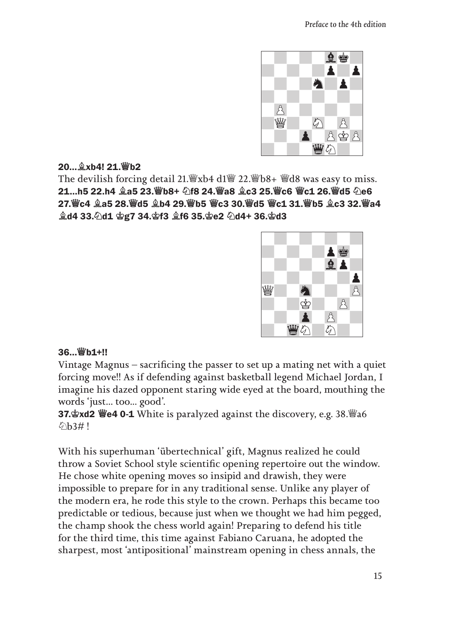

20...♗xb4! 21.♕b2

The devilish forcing detail 21.♕xb4 d1♕ 22.♕b8+ ♕d8 was easy to miss. 21...h5 22.h4 ♗a5 23.♕b8+ ♘f8 24.♕a8 ♗c3 25.♕c6 ♕c1 26.♕d5 ♘e6 27.♕c4 ♗a5 28.♕d5 ♗b4 29.♕b5 ♕c3 30.♕d5 ♕c1 31.♕b5 ♗c3 32.♕a4 ♗d4 33.♘d1 ♔g7 34.♔f3 ♗f6 35.♔e2 ♘d4+ 36.♔d3



#### 36...♕b1+!!

Vintage Magnus – sacrificing the passer to set up a mating net with a quiet forcing move!! As if defending against basketball legend Michael Jordan, I imagine his dazed opponent staring wide eyed at the board, mouthing the words 'just... too... good'.

37.♔xd2 ♕e4 0-1 White is paralyzed against the discovery, e.g. 38.♕a6  $$b3#!$ 

With his superhuman 'übertechnical' gift, Magnus realized he could throw a Soviet School style scientific opening repertoire out the window. He chose white opening moves so insipid and drawish, they were impossible to prepare for in any traditional sense. Unlike any player of the modern era, he rode this style to the crown. Perhaps this became too predictable or tedious, because just when we thought we had him pegged, the champ shook the chess world again! Preparing to defend his title for the third time, this time against Fabiano Caruana, he adopted the sharpest, most 'antipositional' mainstream opening in chess annals, the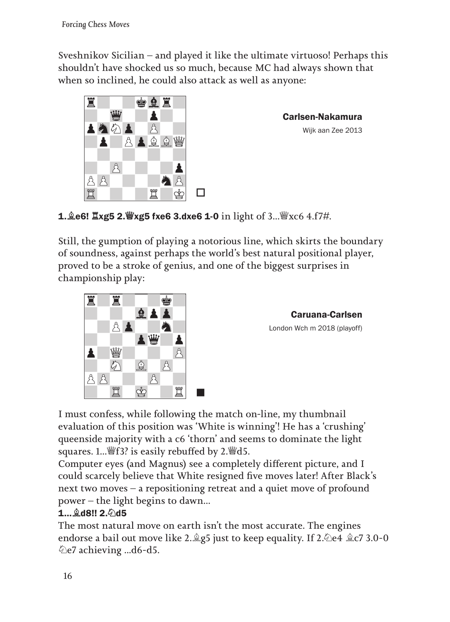Sveshnikov Sicilian – and played it like the ultimate virtuoso! Perhaps this shouldn't have shocked us so much, because MC had always shown that when so inclined, he could also attack as well as anyone:



Carlsen-Nakamura Wijk aan Zee 2013

1.♗e6! ♖xg5 2.♕xg5 fxe6 3.dxe6 1-0 in light of 3...♕xc6 4.f7#.

Still, the gumption of playing a notorious line, which skirts the boundary of soundness, against perhaps the world's best natural positional player, proved to be a stroke of genius, and one of the biggest surprises in championship play:



Caruana-Carlsen London Wch m 2018 (playoff)

I must confess, while following the match on-line, my thumbnail evaluation of this position was 'White is winning'! He has a 'crushing' queenside majority with a c6 'thorn' and seems to dominate the light squares. 1...♕f3? is easily rebuffed by 2.♕d5.

Computer eyes (and Magnus) see a completely different picture, and I could scarcely believe that White resigned five moves later! After Black's next two moves – a repositioning retreat and a quiet move of profound power – the light begins to dawn...

#### 1... 2d8!! 2.4d5

The most natural move on earth isn't the most accurate. The engines endorse a bail out move like 2.♗g5 just to keep equality. If 2.♘e4 ♗c7 3.0-0 ♘e7 achieving ...d6-d5.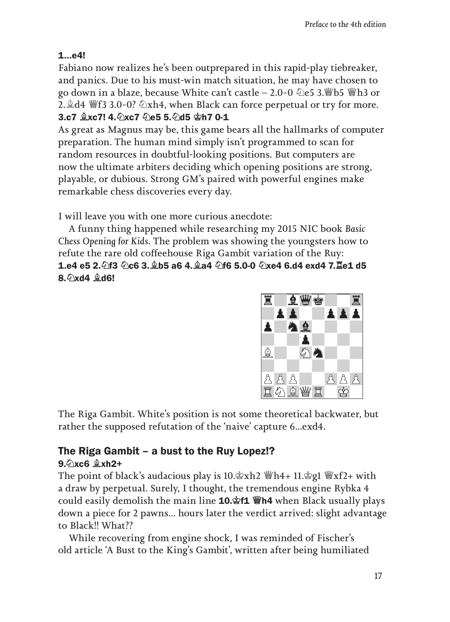## 1...e4!

Fabiano now realizes he's been outprepared in this rapid-play tiebreaker, and panics. Due to his must-win match situation, he may have chosen to go down in a blaze, because White can't castle – 2.0-0  $\Diamond$ e5 3. Wb5 Wh3 or 2.♗d4 ♕f3 3.0-0? ♘xh4, when Black can force perpetual or try for more. 3.c7 ♗xc7! 4.♘xc7 ♘e5 5.♘d5 ♔h7 0-1

As great as Magnus may be, this game bears all the hallmarks of computer preparation. The human mind simply isn't programmed to scan for random resources in doubtful-looking positions. But computers are now the ultimate arbiters deciding which opening positions are strong, playable, or dubious. Strong GM's paired with powerful engines make remarkable chess discoveries every day.

I will leave you with one more curious anecdote:

A funny thing happened while researching my 2015 NIC book *Basic Chess Opening for Kids*. The problem was showing the youngsters how to refute the rare old coffeehouse Riga Gambit variation of the Ruy: 1.e4 e5 2.♘f3 ♘c6 3.♗b5 a6 4.♗a4 ♘f6 5.0-0 ♘xe4 6.d4 exd4 7.♖e1 d5 8.♘xd4 ♗d6!



The Riga Gambit. White's position is not some theoretical backwater, but rather the supposed refutation of the 'naive' capture 6...exd4.

## The Riga Gambit – a bust to the Ruy Lopez!?

#### 9.♘xc6 ♗xh2+

The point of black's audacious play is 10. $\circ$ xh2  $\circ$ h4+ 11. $\circ$ g1  $\circ$ xf2+ with a draw by perpetual. Surely, I thought, the tremendous engine Rybka 4 could easily demolish the main line 10.♔f1 ♕h4 when Black usually plays down a piece for 2 pawns... hours later the verdict arrived: slight advantage to Black!! What??

While recovering from engine shock, I was reminded of Fischer's old article 'A Bust to the King's Gambit', written after being humiliated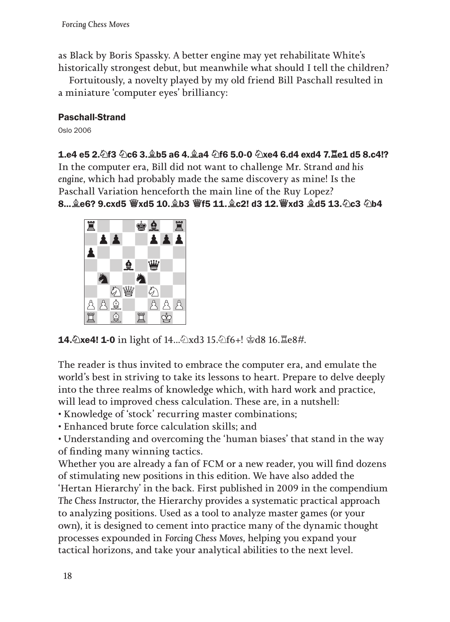as Black by Boris Spassky. A better engine may yet rehabilitate White's historically strongest debut, but meanwhile what should I tell the children?

Fortuitously, a novelty played by my old friend Bill Paschall resulted in a miniature 'computer eyes' brilliancy:

#### Paschall-Strand

Oslo 2006

#### 1.e4 e5 2.♘f3 ♘c6 3.♗b5 a6 4.♗a4 ♘f6 5.0-0 ♘xe4 6.d4 exd4 7.♖e1 d5 8.c4!?

In the computer era, Bill did not want to challenge Mr. Strand *and his engine*, which had probably made the same discovery as mine! Is the Paschall Variation henceforth the main line of the Ruy Lopez? 8...♗e6? 9.cxd5 ♕xd5 10.♗b3 ♕f5 11.♗c2! d3 12.♕xd3 ♗d5 13.♘c3 ♘b4



14.♘xe4! 1-0 in light of 14...♘xd3 15.♘f6+! ♔d8 16.♖e8#.

The reader is thus invited to embrace the computer era, and emulate the world's best in striving to take its lessons to heart. Prepare to delve deeply into the three realms of knowledge which, with hard work and practice, will lead to improved chess calculation. These are, in a nutshell:

• Knowledge of 'stock' recurring master combinations;

• Enhanced brute force calculation skills; and

• Understanding and overcoming the 'human biases' that stand in the way of finding many winning tactics.

Whether you are already a fan of FCM or a new reader, you will find dozens of stimulating new positions in this edition. We have also added the 'Hertan Hierarchy' in the back. First published in 2009 in the compendium *The Chess Instructor*, the Hierarchy provides a systematic practical approach to analyzing positions. Used as a tool to analyze master games (or your own), it is designed to cement into practice many of the dynamic thought processes expounded in *Forcing Chess Moves*, helping you expand your tactical horizons, and take your analytical abilities to the next level.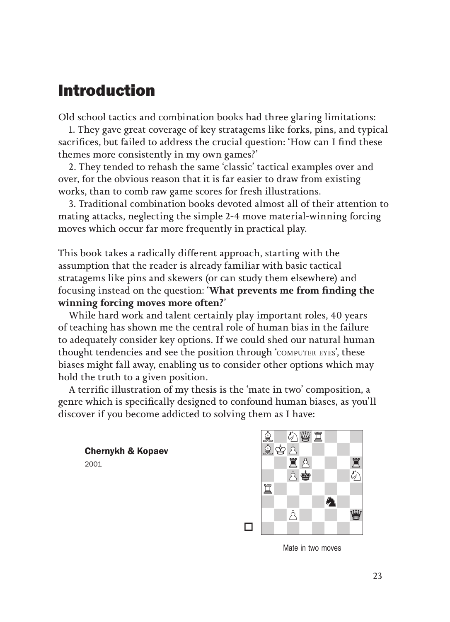# Introduction

Old school tactics and combination books had three glaring limitations:

1. They gave great coverage of key stratagems like forks, pins, and typical sacrifices, but failed to address the crucial question: 'How can I find these themes more consistently in my own games?'

2. They tended to rehash the same 'classic' tactical examples over and over, for the obvious reason that it is far easier to draw from existing works, than to comb raw game scores for fresh illustrations.

3. Traditional combination books devoted almost all of their attention to mating attacks, neglecting the simple 2-4 move material-winning forcing moves which occur far more frequently in practical play.

This book takes a radically different approach, starting with the assumption that the reader is already familiar with basic tactical stratagems like pins and skewers (or can study them elsewhere) and focusing instead on the question: '**What prevents me from finding the winning forcing moves more often?**'

While hard work and talent certainly play important roles, 40 years of teaching has shown me the central role of human bias in the failure to adequately consider key options. If we could shed our natural human thought tendencies and see the position through 'computer eyes', these biases might fall away, enabling us to consider other options which may hold the truth to a given position.

A terrific illustration of my thesis is the 'mate in two' composition, a genre which is specifically designed to confound human biases, as you'll discover if you become addicted to solving them as I have:

Chernykh & Kopaev 2001



Mate in two moves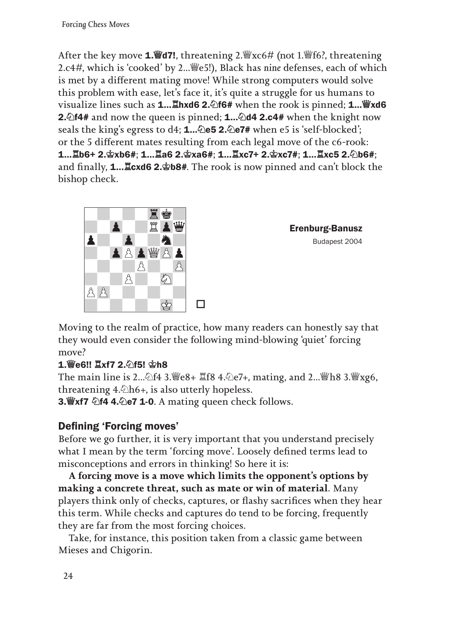After the key move **1. Welter**, threatening 2. We xc6# (not 1. We fold, threatening 2.c4#, which is 'cooked' by 2...♕e5!), Black has *nine* defenses, each of which is met by a different mating move! While strong computers would solve this problem with ease, let's face it, it's quite a struggle for us humans to visualize lines such as **1... Inxd6 2.** ∆f6# when the rook is pinned; **1... Wyxd6 2.** $\triangle$ f4# and now the queen is pinned; **1...** $\triangle$ d4 **2.c4**# when the knight now seals the king's egress to d4;  $1 \dots 2e5$  2. $\Diamond e7$ # when e5 is 'self-blocked'; or the 5 different mates resulting from each legal move of the c6-rook: 1...♖b6+ 2.♔xb6#; 1...♖a6 2.♔xa6#; 1...♖xc7+ 2.♔xc7#; 1...♖xc5 2.♘b6#; and finally, 1...♖cxd6 2.♔b8#. The rook is now pinned and can't block the bishop check.



Erenburg-Banusz Budapest 2004

Moving to the realm of practice, how many readers can honestly say that they would even consider the following mind-blowing 'quiet' forcing move?

## 1. @e6!! Ixf7 2. of 5! \$h8

The main line is 2...♘f4 3.♕e8+ ♖f8 4.♘e7+, mating, and 2...♕h8 3.♕xg6, threatening 4.♘h6+, is also utterly hopeless.

3.♕xf7 ♘f4 4.♘e7 1-0. A mating queen check follows.

## Defining 'Forcing moves'

Before we go further, it is very important that you understand precisely what I mean by the term 'forcing move'. Loosely defined terms lead to misconceptions and errors in thinking! So here it is:

**A forcing move is a move which limits the opponent's options by making a concrete threat, such as mate or win of material**. Many players think only of checks, captures, or flashy sacrifices when they hear this term. While checks and captures do tend to be forcing, frequently they are far from the most forcing choices.

Take, for instance, this position taken from a classic game between Mieses and Chigorin.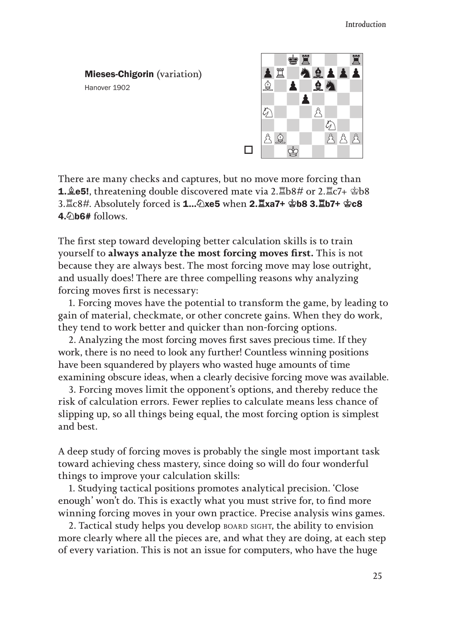#### Mieses-Chigorin (variation)

Hanover 1902



There are many checks and captures, but no move more forcing than 1.♗e5!, threatening double discovered mate via 2.♖b8# or 2.♖c7+ ♔b8 3.♖c8#. Absolutely forced is 1...♘xe5 when 2.♖xa7+ ♔b8 3.♖b7+ ♔c8 **4. b6#** follows.

The first step toward developing better calculation skills is to train yourself to **always analyze the most forcing moves first.** This is not because they are always best. The most forcing move may lose outright, and usually does! There are three compelling reasons why analyzing forcing moves first is necessary:

1. Forcing moves have the potential to transform the game, by leading to gain of material, checkmate, or other concrete gains. When they do work, they tend to work better and quicker than non-forcing options.

2. Analyzing the most forcing moves first saves precious time. If they work, there is no need to look any further! Countless winning positions have been squandered by players who wasted huge amounts of time examining obscure ideas, when a clearly decisive forcing move was available.

3. Forcing moves limit the opponent's options, and thereby reduce the risk of calculation errors. Fewer replies to calculate means less chance of slipping up, so all things being equal, the most forcing option is simplest and best.

A deep study of forcing moves is probably the single most important task toward achieving chess mastery, since doing so will do four wonderful things to improve your calculation skills:

1. Studying tactical positions promotes analytical precision. 'Close enough' won't do. This is exactly what you must strive for, to find more winning forcing moves in your own practice. Precise analysis wins games.

2. Tactical study helps you develop board sight, the ability to envision more clearly where all the pieces are, and what they are doing, at each step of every variation. This is not an issue for computers, who have the huge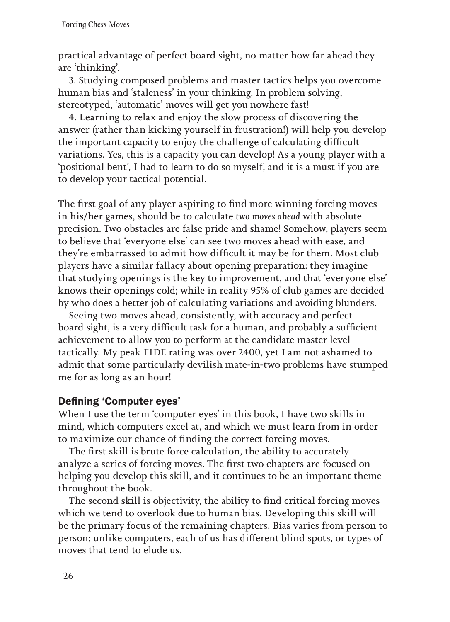practical advantage of perfect board sight, no matter how far ahead they are 'thinking'.

3. Studying composed problems and master tactics helps you overcome human bias and 'staleness' in your thinking. In problem solving, stereotyped, 'automatic' moves will get you nowhere fast!

4. Learning to relax and enjoy the slow process of discovering the answer (rather than kicking yourself in frustration!) will help you develop the important capacity to enjoy the challenge of calculating difficult variations. Yes, this is a capacity you can develop! As a young player with a 'positional bent', I had to learn to do so myself, and it is a must if you are to develop your tactical potential.

The first goal of any player aspiring to find more winning forcing moves in his/her games, should be to calculate *two moves ahead* with absolute precision. Two obstacles are false pride and shame! Somehow, players seem to believe that 'everyone else' can see two moves ahead with ease, and they're embarrassed to admit how difficult it may be for them. Most club players have a similar fallacy about opening preparation: they imagine that studying openings is the key to improvement, and that 'everyone else' knows their openings cold; while in reality 95% of club games are decided by who does a better job of calculating variations and avoiding blunders.

Seeing two moves ahead, consistently, with accuracy and perfect board sight, is a very difficult task for a human, and probably a sufficient achievement to allow you to perform at the candidate master level tactically. My peak FIDE rating was over 2400, yet I am not ashamed to admit that some particularly devilish mate-in-two problems have stumped me for as long as an hour!

#### Defining 'Computer eyes'

When I use the term 'computer eyes' in this book, I have two skills in mind, which computers excel at, and which we must learn from in order to maximize our chance of finding the correct forcing moves.

The first skill is brute force calculation, the ability to accurately analyze a series of forcing moves. The first two chapters are focused on helping you develop this skill, and it continues to be an important theme throughout the book.

The second skill is objectivity, the ability to find critical forcing moves which we tend to overlook due to human bias. Developing this skill will be the primary focus of the remaining chapters. Bias varies from person to person; unlike computers, each of us has different blind spots, or types of moves that tend to elude us.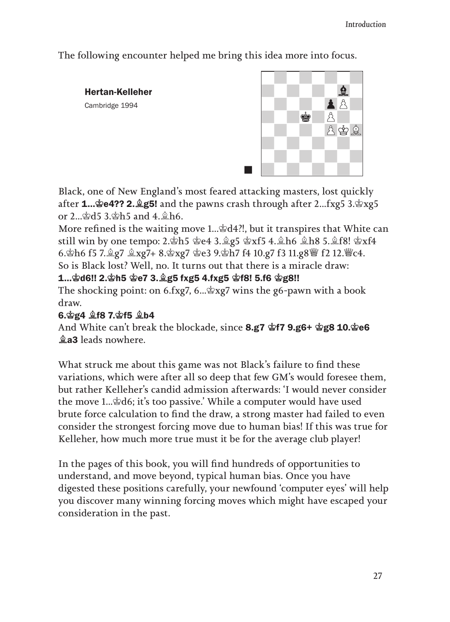The following encounter helped me bring this idea more into focus.

Hertan-Kelleher Cambridge 1994



Black, one of New England's most feared attacking masters, lost quickly after **1.... e4?? 2. g5!** and the pawns crash through after 2...fxg5 3. gxg5 or 2...♔d5 3.♔h5 and 4.♗h6.

More refined is the waiting move 1...♔d4?!, but it transpires that White can still win by one tempo: 2.♔h5 ♔e4 3.♗g5 ♔xf5 4.♗h6 ♗h8 5.♗f8! ♔xf4 6.♔h6 f5 7.♗g7 ♗xg7+ 8.♔xg7 ♔e3 9.♔h7 f4 10.g7 f3 11.g8♕ f2 12.♕c4. So is Black lost? Well, no. It turns out that there is a miracle draw:

1...♔d6!! 2.♔h5 ♔e7 3.♗g5 fxg5 4.fxg5 ♔f8! 5.f6 ♔g8!!

The shocking point: on 6.fxg7, 6...♔xg7 wins the g6-pawn with a book draw.

## 6.♔g4 ♗f8 7.♔f5 ♗b4

And White can't break the blockade, since 8.g7  $\mathbf{\hat{\Phi}}$ f7 9.g6+  $\mathbf{\hat{\Phi}}$ g8 10. $\mathbf{\hat{\Phi}}$ e6 ♗a3 leads nowhere.

What struck me about this game was not Black's failure to find these variations, which were after all so deep that few GM's would foresee them, but rather Kelleher's candid admission afterwards: 'I would never consider the move 1...♔d6; it's too passive.' While a computer would have used brute force calculation to find the draw, a strong master had failed to even consider the strongest forcing move due to human bias! If this was true for Kelleher, how much more true must it be for the average club player!

In the pages of this book, you will find hundreds of opportunities to understand, and move beyond, typical human bias. Once you have digested these positions carefully, your newfound 'computer eyes' will help you discover many winning forcing moves which might have escaped your consideration in the past.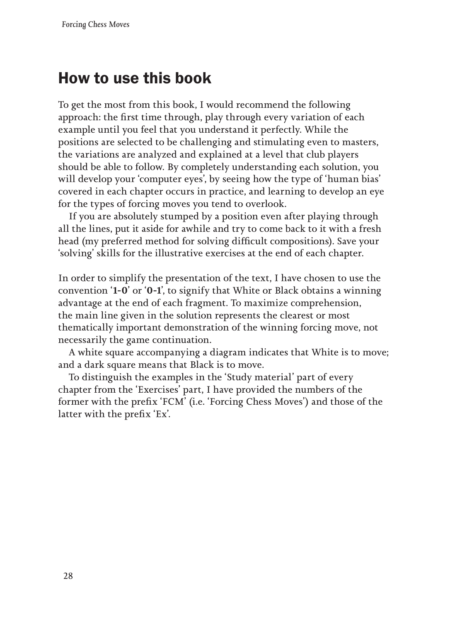# How to use this book

To get the most from this book, I would recommend the following approach: the first time through, play through every variation of each example until you feel that you understand it perfectly. While the positions are selected to be challenging and stimulating even to masters, the variations are analyzed and explained at a level that club players should be able to follow. By completely understanding each solution, you will develop your 'computer eyes', by seeing how the type of 'human bias' covered in each chapter occurs in practice, and learning to develop an eye for the types of forcing moves you tend to overlook.

If you are absolutely stumped by a position even after playing through all the lines, put it aside for awhile and try to come back to it with a fresh head (my preferred method for solving difficult compositions). Save your 'solving' skills for the illustrative exercises at the end of each chapter.

In order to simplify the presentation of the text, I have chosen to use the convention '**1-0**' or '**0-1**', to signify that White or Black obtains a winning advantage at the end of each fragment. To maximize comprehension, the main line given in the solution represents the clearest or most thematically important demonstration of the winning forcing move, not necessarily the game continuation.

A white square accompanying a diagram indicates that White is to move; and a dark square means that Black is to move.

To distinguish the examples in the 'Study material' part of every chapter from the 'Exercises' part, I have provided the numbers of the former with the prefix 'FCM' (i.e. 'Forcing Chess Moves') and those of the latter with the prefix 'Ex'.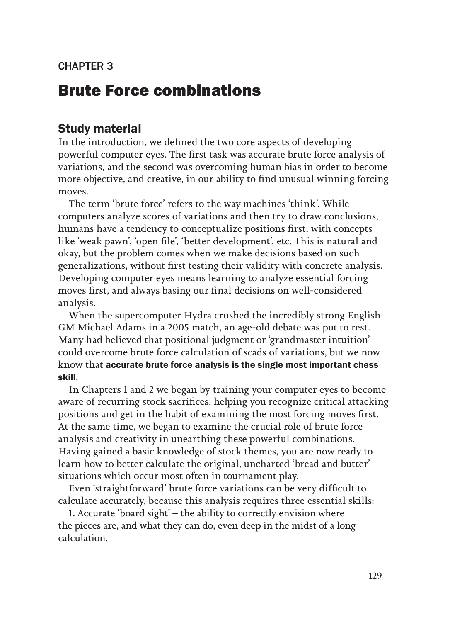#### CHAPTER 3

# Brute Force combinations

## Study material

In the introduction, we defined the two core aspects of developing powerful computer eyes. The first task was accurate brute force analysis of variations, and the second was overcoming human bias in order to become more objective, and creative, in our ability to find unusual winning forcing moves.

The term 'brute force' refers to the way machines 'think'. While computers analyze scores of variations and then try to draw conclusions, humans have a tendency to conceptualize positions first, with concepts like 'weak pawn', 'open file', 'better development', etc. This is natural and okay, but the problem comes when we make decisions based on such generalizations, without first testing their validity with concrete analysis. Developing computer eyes means learning to analyze essential forcing moves first, and always basing our final decisions on well-considered analysis.

When the supercomputer Hydra crushed the incredibly strong English GM Michael Adams in a 2005 match, an age-old debate was put to rest. Many had believed that positional judgment or 'grandmaster intuition' could overcome brute force calculation of scads of variations, but we now know that accurate brute force analysis is the single most important chess skill.

In Chapters 1 and 2 we began by training your computer eyes to become aware of recurring stock sacrifices, helping you recognize critical attacking positions and get in the habit of examining the most forcing moves first. At the same time, we began to examine the crucial role of brute force analysis and creativity in unearthing these powerful combinations. Having gained a basic knowledge of stock themes, you are now ready to learn how to better calculate the original, uncharted 'bread and butter' situations which occur most often in tournament play.

Even 'straightforward' brute force variations can be very difficult to calculate accurately, because this analysis requires three essential skills:

1. Accurate 'board sight' – the ability to correctly envision where the pieces are, and what they can do, even deep in the midst of a long calculation.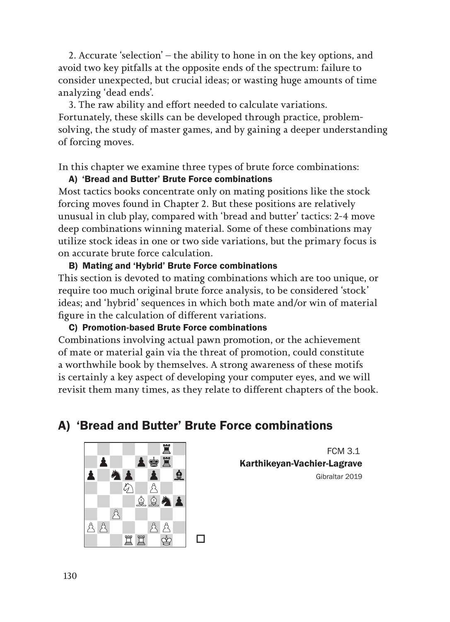2. Accurate 'selection' – the ability to hone in on the key options, and avoid two key pitfalls at the opposite ends of the spectrum: failure to consider unexpected, but crucial ideas; or wasting huge amounts of time analyzing 'dead ends'.

3. The raw ability and effort needed to calculate variations. Fortunately, these skills can be developed through practice, problemsolving, the study of master games, and by gaining a deeper understanding of forcing moves.

In this chapter we examine three types of brute force combinations:

#### A) 'Bread and Butter' Brute Force combinations

Most tactics books concentrate only on mating positions like the stock forcing moves found in Chapter 2. But these positions are relatively unusual in club play, compared with 'bread and butter' tactics: 2-4 move deep combinations winning material. Some of these combinations may utilize stock ideas in one or two side variations, but the primary focus is on accurate brute force calculation.

#### B) Mating and 'Hybrid' Brute Force combinations

This section is devoted to mating combinations which are too unique, or require too much original brute force analysis, to be considered 'stock' ideas; and 'hybrid' sequences in which both mate and/or win of material figure in the calculation of different variations.

#### C) Promotion-based Brute Force combinations

Combinations involving actual pawn promotion, or the achievement of mate or material gain via the threat of promotion, could constitute a worthwhile book by themselves. A strong awareness of these motifs is certainly a key aspect of developing your computer eyes, and we will revisit them many times, as they relate to different chapters of the book.

# A) 'Bread and Butter' Brute Force combinations



FCM 3.1 Karthikeyan-Vachier-Lagrave Gibraltar 2019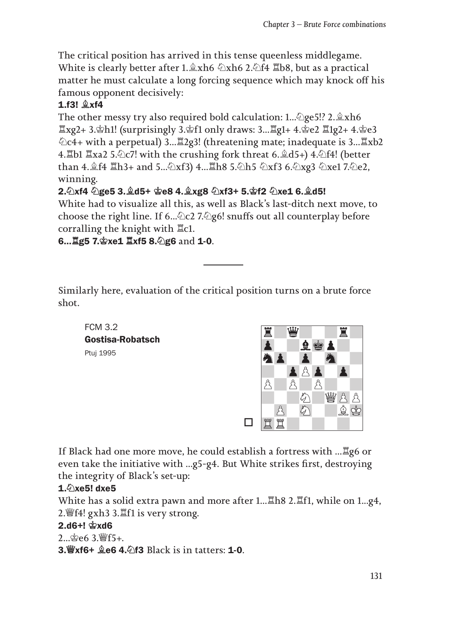The critical position has arrived in this tense queenless middlegame. White is clearly better after 1.♗xh6 ♘xh6 2.♘f4 ♖b8, but as a practical matter he must calculate a long forcing sequence which may knock off his famous opponent decisively:

### 1.f3! ♗xf4

The other messy try also required bold calculation: 1... $\Diamond$ ge5!? 2. $\Diamond$ xh6 ♖xg2+ 3.♔h1! (surprisingly 3.♔f1 only draws: 3...♖g1+ 4.♔e2 ♖1g2+ 4.♔e3 ♘c4+ with a perpetual) 3...♖2g3! (threatening mate; inadequate is 3...♖xb2 4.♖b1 ♖xa2 5.♘c7! with the crushing fork threat 6.♗d5+) 4.♘f4! (better than 4.♗f4 ♖h3+ and 5...♘xf3) 4...♖h8 5.♘h5 ♘xf3 6.♘xg3 ♘xe1 7.♘e2, winning.

#### 2.♘xf4 ♘ge5 3.♗d5+ ♔e8 4.♗xg8 ♘xf3+ 5.♔f2 ♘xe1 6.♗d5!

White had to visualize all this, as well as Black's last-ditch next move, to choose the right line. If 6...♘c2 7.♘g6! snuffs out all counterplay before corralling the knight with ♖c1.

6...♖g5 7.♔xe1 ♖xf5 8.♘g6 and 1-0.

Similarly here, evaluation of the critical position turns on a brute force shot.

FCM 3.2 Gostisa-Robatsch Ptuj 1995



If Black had one more move, he could establish a fortress with ...♖g6 or even take the initiative with ...g5-g4. But White strikes first, destroying the integrity of Black's set-up:

#### 1. 2xe5! dxe5

White has a solid extra pawn and more after 1...♖h8 2.♖f1, while on 1...g4, 2.♕f4! gxh3 3.♖f1 is very strong.

#### 2.d6+! ♔xd6

2...♔e6 3.♕f5+.

3.♕xf6+ ♗e6 4.♘f3 Black is in tatters: 1-0.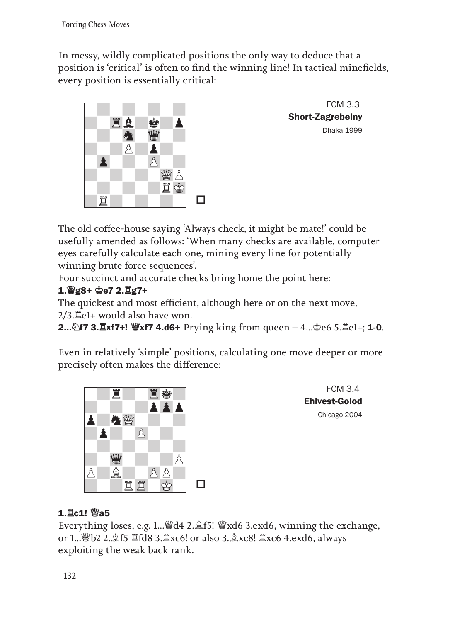In messy, wildly complicated positions the only way to deduce that a position is 'critical' is often to find the winning line! In tactical minefields, every position is essentially critical:



FCM 3.3 Short-Zagrebelny Dhaka 1999

The old coffee-house saying 'Always check, it might be mate!' could be usefully amended as follows: 'When many checks are available, computer eyes carefully calculate each one, mining every line for potentially winning brute force sequences'.

Four succinct and accurate checks bring home the point here:

### 1.♕g8+ ♔e7 2.♖g7+

The quickest and most efficient, although here or on the next move, 2/3.♖e1+ would also have won.

2...♘f7 3.♖xf7+! ♕xf7 4.d6+ Prying king from queen – 4...♔e6 5.♖e1+; 1-0.

Even in relatively 'simple' positions, calculating one move deeper or more precisely often makes the difference:



FCM 3.4 Ehlvest-Golod Chicago 2004

## 1.♖c1! ♕a5

Everything loses, e.g. 1...♕d4 2.♗f5! ♕xd6 3.exd6, winning the exchange, or 1...♕b2 2.♗f5 ♖fd8 3.♖xc6! or also 3.♗xc8! ♖xc6 4.exd6, always exploiting the weak back rank.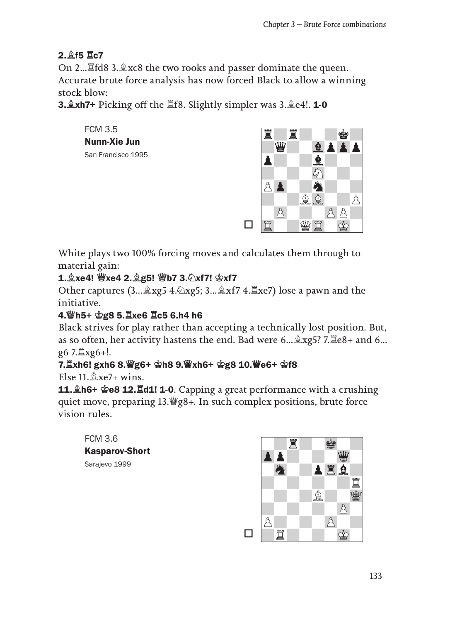## 2.♗f5 ♖c7

On 2...♖fd8 3.♗xc8 the two rooks and passer dominate the queen. Accurate brute force analysis has now forced Black to allow a winning stock blow:

3.♗xh7+ Picking off the ♖f8. Slightly simpler was 3.♗e4!. 1-0

FCM 3.5 Nunn-Xie Jun San Francisco 1995



White plays two 100% forcing moves and calculates them through to material gain:

## 1.♗xe4! ♕xe4 2.♗g5! ♕b7 3.♘xf7! ♔xf7

Other captures (3...♗xg5 4.♘xg5; 3...♗xf7 4.♖xe7) lose a pawn and the initiative.

#### 4.♕h5+ ♔g8 5.♖xe6 ♖c5 6.h4 h6

Black strives for play rather than accepting a technically lost position. But, as so often, her activity hastens the end. Bad were 6...♗xg5? 7.♖e8+ and 6... g6 7.♖xg6+!.

## 7.♖xh6! gxh6 8.♕g6+ ♔h8 9.♕xh6+ ♔g8 10.♕e6+ ♔f8

Else  $11.\n$ gxe $7+$  wins.

11.♗h6+ ♔e8 12.♖d1! 1-0. Capping a great performance with a crushing quiet move, preparing 13.♕g8+. In such complex positions, brute force vision rules.

FCM 3.6 Kasparov-Short Sarajevo 1999

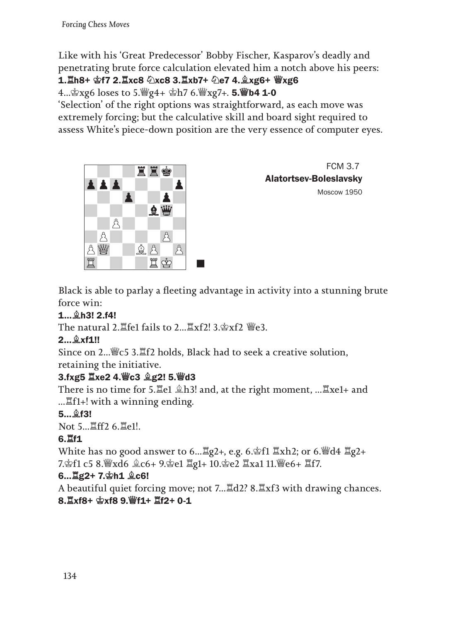Like with his 'Great Predecessor' Bobby Fischer, Kasparov's deadly and penetrating brute force calculation elevated him a notch above his peers: 1.♖h8+ ♔f7 2.♖xc8 ♘xc8 3.♖xb7+ ♘e7 4.♗xg6+ ♕xg6

4...♔xg6 loses to 5.♕g4+ ♔h7 6.♕xg7+. 5.♕b4 1-0

'Selection' of the right options was straightforward, as each move was extremely forcing; but the calculative skill and board sight required to assess White's piece-down position are the very essence of computer eyes.



FCM 3.7 Alatortsev-Boleslavsky Moscow 1950

Black is able to parlay a fleeting advantage in activity into a stunning brute force win:

## 1...♗h3! 2.f4!

The natural 2. $\Xi$ fe1 fails to 2... $\Xi$ xf2! 3. $\Delta$ xf2  $\Xi$ e3.

#### 2...♗xf1!!

Since on 2...♕c5 3.♖f2 holds, Black had to seek a creative solution, retaining the initiative.

#### 3.fxg5 ♖xe2 4.♕c3 ♗g2! 5.♕d3

There is no time for 5.♖e1 ♗h3! and, at the right moment, ...♖xe1+ and ...♖f1+! with a winning ending.

#### 5...♗f3!

Not 5...♖ff2 6.♖e1!.

## 6.♖f1

White has no good answer to 6...♖g2+, e.g. 6.♔f1 ♖xh2; or 6.♕d4 ♖g2+ 7.♔f1 c5 8.♕xd6 ♗c6+ 9.♔e1 ♖g1+ 10.♔e2 ♖xa1 11.♕e6+ ♖f7.

#### 6...♖g2+ 7.♔h1 ♗c6!

A beautiful quiet forcing move; not 7...♖d2? 8.♖xf3 with drawing chances. 8.♖xf8+ ♔xf8 9.♕f1+ ♖f2+ 0-1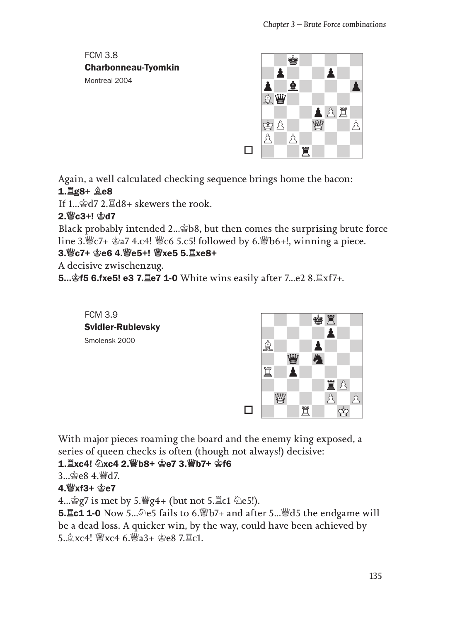FCM 3.8 Charbonneau-Tyomkin Montreal 2004



Again, a well calculated checking sequence brings home the bacon: 1.♖g8+ ♗e8

If 1...♔d7 2.♖d8+ skewers the rook.

#### 2.♕c3+! ♔d7

Black probably intended 2...♔b8, but then comes the surprising brute force line 3.♕c7+ ♔a7 4.c4! ♕c6 5.c5! followed by 6.♕b6+!, winning a piece.

#### 3.♕c7+ ♔e6 4.♕e5+! ♕xe5 5.♖xe8+

A decisive zwischenzug.

5...♔f5 6.fxe5! e3 7.♖e7 1-0 White wins easily after 7...e2 8.♖xf7+.





With major pieces roaming the board and the enemy king exposed, a series of queen checks is often (though not always!) decisive:

#### 1.♖xc4! ♘xc4 2.♕b8+ ♔e7 3.♕b7+ ♔f6

3...♔e8 4.♕d7.

4.♕xf3+ ♔e7

4... $\dot{\mathscr{Q}}g7$  is met by 5. $\mathscr{Q}q4+$  (but not 5. $\mathscr{Z}c1 \otimes e5!$ ).

5.♖c1 1-0 Now 5...♘e5 fails to 6.♕b7+ and after 5...♕d5 the endgame will be a dead loss. A quicker win, by the way, could have been achieved by 5.♗xc4! ♕xc4 6.♕a3+ ♔e8 7.♖c1.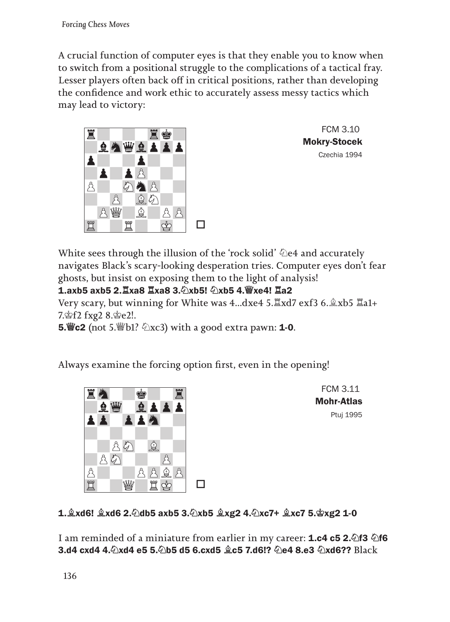A crucial function of computer eyes is that they enable you to know when to switch from a positional struggle to the complications of a tactical fray. Lesser players often back off in critical positions, rather than developing the confidence and work ethic to accurately assess messy tactics which may lead to victory:



FCM 3.10 Mokry-Stocek Czechia 1994

White sees through the illusion of the 'rock solid'  $\Diamond$ e4 and accurately navigates Black's scary-looking desperation tries. Computer eyes don't fear ghosts, but insist on exposing them to the light of analysis!

1.axb5 axb5 2.♖xa8 ♖xa8 3.♘xb5! ♘xb5 4.♕xe4! ♖a2

Very scary, but winning for White was 4...dxe4 5.♖xd7 exf3 6.♗xb5 ♖a1+ 7.♔f2 fxg2 8.♔e2!.

5.♕c2 (not 5.♕b1? ♘xc3) with a good extra pawn: 1-0.

Always examine the forcing option first, even in the opening!



FCM 3.11 Mohr-Atlas Ptuj 1995

1.♗xd6! ♗xd6 2.♘db5 axb5 3.♘xb5 ♗xg2 4.♘xc7+ ♗xc7 5.♔xg2 1-0

I am reminded of a miniature from earlier in my career: **1.c4 c5 2.**2f**3** 2f6 3.d4 cxd4 4.♘xd4 e5 5.♘b5 d5 6.cxd5 ♗c5 7.d6!? ♘e4 8.e3 ♘xd6?? Black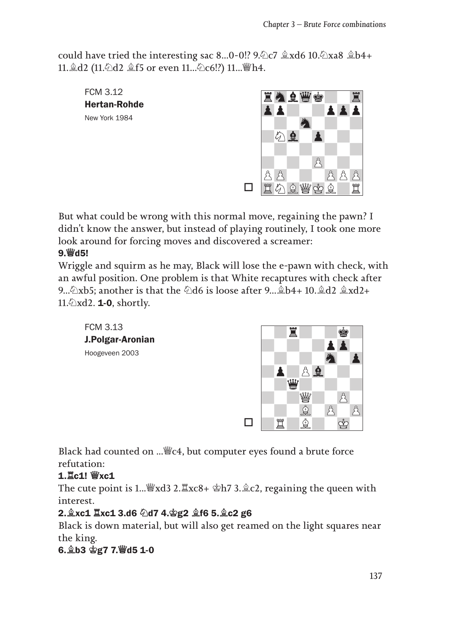could have tried the interesting sac 8...0-0!? 9.♘c7 ♗xd6 10.♘xa8 ♗b4+ 11.♗d2 (11.♘d2 ♗f5 or even 11...♘c6!?) 11...♕h4.

FCM 3.12 Hertan-Rohde New York 1984



But what could be wrong with this normal move, regaining the pawn? I didn't know the answer, but instead of playing routinely, I took one more look around for forcing moves and discovered a screamer:

#### 9.♕d5!

Wriggle and squirm as he may, Black will lose the e-pawn with check, with an awful position. One problem is that White recaptures with check after 9...♘xb5; another is that the ♘d6 is loose after 9...♗b4+ 10.♗d2 ♗xd2+ 11. $\&$ xd2. **1-0**, shortly.





Black had counted on ...♕c4, but computer eyes found a brute force refutation:

#### 1.♖c1! ♕xc1

The cute point is 1...♕xd3 2.♖xc8+ ♔h7 3.♗c2, regaining the queen with interest.

#### 2.♗xc1 ♖xc1 3.d6 ♘d7 4.♔g2 ♗f6 5.♗c2 g6

Black is down material, but will also get reamed on the light squares near the king.

6.♗b3 ♔g7 7.♕d5 1-0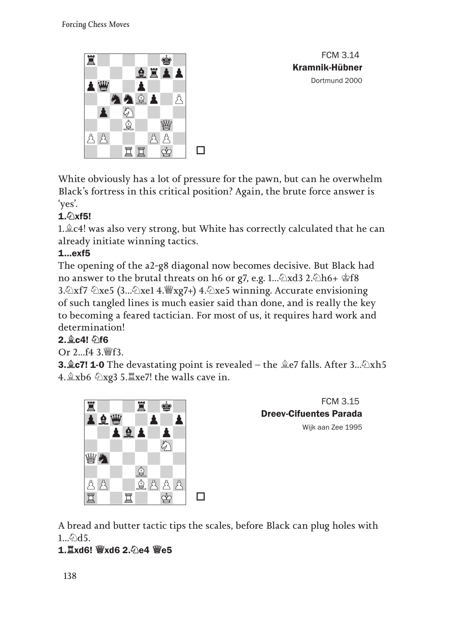

FCM 3.14 Kramnik-Hübner Dortmund 2000

White obviously has a lot of pressure for the pawn, but can he overwhelm Black's fortress in this critical position? Again, the brute force answer is 'yes'.

## 1. 2xf5!

1.♗c4! was also very strong, but White has correctly calculated that he can already initiate winning tactics.

## 1...exf5

The opening of the a2-g8 diagonal now becomes decisive. But Black had no answer to the brutal threats on h6 or g7, e.g. 1...۞xd3 2.۞h6+ ញ68 3.♘xf7 ♘xe5 (3...♘xe1 4.♕xg7+) 4.♘xe5 winning. Accurate envisioning of such tangled lines is much easier said than done, and is really the key to becoming a feared tactician. For most of us, it requires hard work and determination!

## $2. \&c4! \&c56$

Or 2...f4 3.♕f3.

3.♗c7! 1-0 The devastating point is revealed – the ♗e7 falls. After 3...♘xh5 4.♗xb6 ♘xg3 5.♖xe7! the walls cave in.



FCM 3.15 Dreev-Cifuentes Parada Wijk aan Zee 1995

A bread and butter tactic tips the scales, before Black can plug holes with  $1...$  $\&$ d5.

#### 1. Xd6! 響xd6 2. 企e4 響e5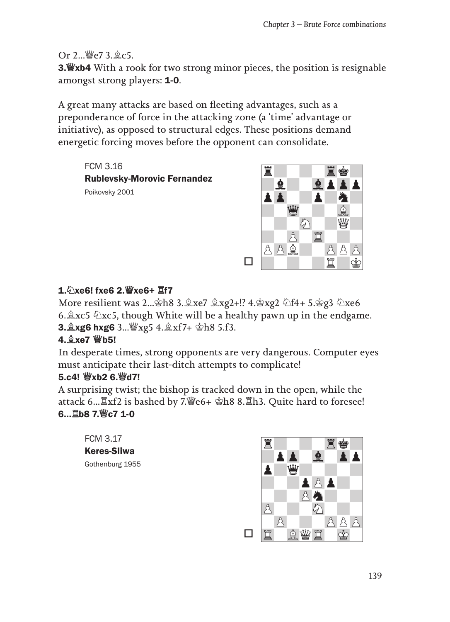Or  $2.$   $\frac{\omega}{2}$ e7  $3.$   $\frac{\omega}{2}$ c5.

3.♕xb4 With a rook for two strong minor pieces, the position is resignable amongst strong players: **1-0**.

A great many attacks are based on fleeting advantages, such as a preponderance of force in the attacking zone (a 'time' advantage or initiative), as opposed to structural edges. These positions demand energetic forcing moves before the opponent can consolidate.





### 1.♘xe6! fxe6 2.♕xe6+ ♖f7

More resilient was 2...♔h8 3.♗xe7 ♗xg2+!? 4.♔xg2 ♘f4+ 5.♔g3 ♘xe6 6.♗xc5 ♘xc5, though White will be a healthy pawn up in the endgame. 3.♗xg6 hxg6 3...♕xg5 4.♗xf7+ ♔h8 5.f3.

#### 4.♗xe7 ♕b5!

In desperate times, strong opponents are very dangerous. Computer eyes must anticipate their last-ditch attempts to complicate!

#### 5.c4! ♕xb2 6.♕d7!

A surprising twist; the bishop is tracked down in the open, while the attack 6...♖xf2 is bashed by 7.♕e6+ ♔h8 8.♖h3. Quite hard to foresee! 6...♖b8 7.♕c7 1-0

FCM 3.17 Keres-Sliwa Gothenburg 1955

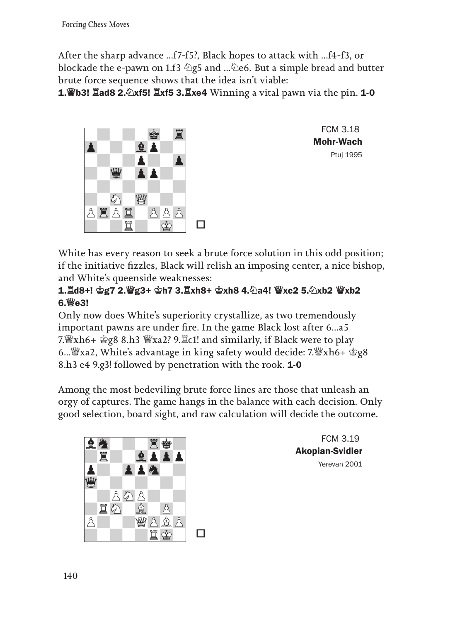After the sharp advance ...f7-f5?, Black hopes to attack with ...f4-f3, or blockade the e-pawn on 1.f3 2g5 and ... ⁄2e6. But a simple bread and butter brute force sequence shows that the idea isn't viable:

1.♕b3! ♖ad8 2.♘xf5! ♖xf5 3.♖xe4 Winning a vital pawn via the pin. 1-0



FCM 3.18 Mohr-Wach Ptuj 1995

White has every reason to seek a brute force solution in this odd position; if the initiative fizzles, Black will relish an imposing center, a nice bishop, and White's queenside weaknesses:

### 1.♖d8+! ♔g7 2.♕g3+ ♔h7 3.♖xh8+ ♔xh8 4.♘a4! ♕xc2 5.♘xb2 ♕xb2 6.♕e3!

Only now does White's superiority crystallize, as two tremendously important pawns are under fire. In the game Black lost after 6...a5 7.♕xh6+ ♔g8 8.h3 ♕xa2? 9.♖c1! and similarly, if Black were to play 6...♕xa2, White's advantage in king safety would decide: 7.♕xh6+ ♔g8 8.h3 e4 9.g3! followed by penetration with the rook. **1-0** 

Among the most bedeviling brute force lines are those that unleash an orgy of captures. The game hangs in the balance with each decision. Only good selection, board sight, and raw calculation will decide the outcome.



FCM 3.19 Akopian-Svidler Yerevan 2001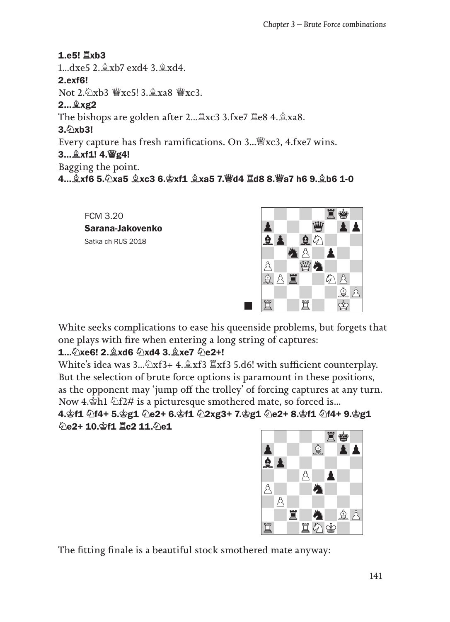1.e5! ♖xb3 1...dxe5 2.♗xb7 exd4 3.♗xd4. 2.exf6! Not 2. 公xb3 響xe5! 3.  $\&$ xa8 響xc3. 2...♗xg2 The bishops are golden after 2...♖xc3 3.fxe7 ♖e8 4.♗xa8.  $3.4$  $xb3!$ Every capture has fresh ramifications. On 3...♕xc3, 4.fxe7 wins. 3...♗xf1! 4.♕g4! Bagging the point. 4...♗xf6 5.♘xa5 ♗xc3 6.♔xf1 ♗xa5 7.♕d4 ♖d8 8.♕a7 h6 9.♗b6 1-0

FCM 3.20 Sarana-Jakovenko Satka ch-RUS 2018



White seeks complications to ease his queenside problems, but forgets that one plays with fire when entering a long string of captures:

#### 1...♘xe6! 2.♗xd6 ♘xd4 3.♗xe7 ♘e2+!

White's idea was 3...♘xf3+ 4.♗xf3 ♖xf3 5.d6! with sufficient counterplay. But the selection of brute force options is paramount in these positions, as the opponent may 'jump off the trolley' of forcing captures at any turn. Now 4. \$h1 ①f2# is a picturesque smothered mate, so forced is...

4.♔f1 ♘f4+ 5.♔g1 ♘e2+ 6.♔f1 ♘2xg3+ 7.♔g1 ♘e2+ 8.♔f1 ♘f4+ 9.♔g1 ♘e2+ 10.♔f1 ♖c2 11.♘e1



The fitting finale is a beautiful stock smothered mate anyway: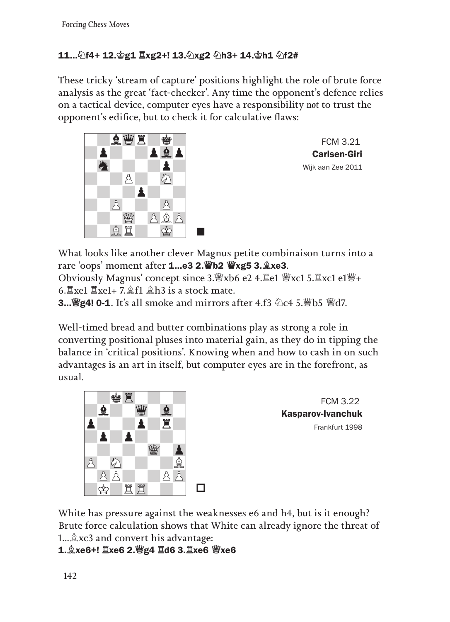## 11...♘f4+ 12.♔g1 ♖xg2+! 13.♘xg2 ♘h3+ 14.♔h1 ♘f2#

These tricky 'stream of capture' positions highlight the role of brute force analysis as the great 'fact-checker'. Any time the opponent's defence relies on a tactical device, computer eyes have a responsibility *not* to trust the opponent's edifice, but to check it for calculative flaws:



FCM 3.21 Carlsen-Giri Wijk aan Zee 2011

What looks like another clever Magnus petite combinaison turns into a rare 'oops' moment after 1...e3 2.♕b2 ♕xg5 3.♗xe3.

Obviously Magnus' concept since 3.♕xb6 e2 4.♖e1 ♕xc1 5.♖xc1 e1♕+ 6.♖xe1 ♖xe1+ 7.♗f1 ♗h3 is a stock mate.

3...♕g4! 0-1. It's all smoke and mirrors after 4.f3 ♘c4 5.♕b5 ♕d7.

Well-timed bread and butter combinations play as strong a role in converting positional pluses into material gain, as they do in tipping the balance in 'critical positions'. Knowing when and how to cash in on such advantages is an art in itself, but computer eyes are in the forefront, as usual.



FCM 3.22 Kasparov-Ivanchuk Frankfurt 1998

White has pressure against the weaknesses e6 and h4, but is it enough? Brute force calculation shows that White can already ignore the threat of 1...♗xc3 and convert his advantage:

1.♗xe6+! ♖xe6 2.♕g4 ♖d6 3.♖xe6 ♕xe6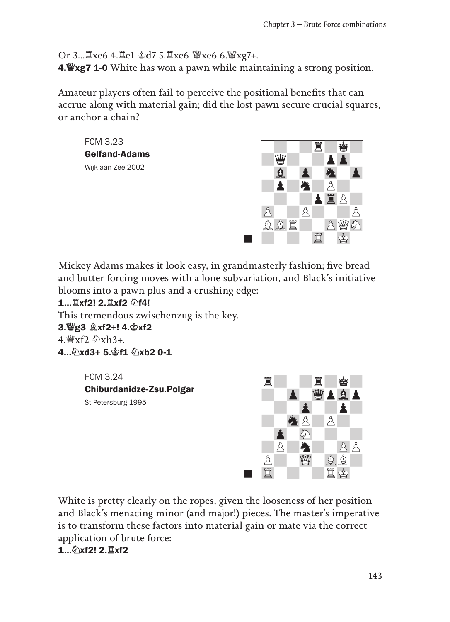Or 3...♖xe6 4.♖e1 ♔d7 5.♖xe6 ♕xe6 6.♕xg7+. 4.♕xg7 1-0 White has won a pawn while maintaining a strong position.

Amateur players often fail to perceive the positional benefits that can accrue along with material gain; did the lost pawn secure crucial squares, or anchor a chain?

FCM 3.23 Gelfand-Adams Wijk aan Zee 2002



Mickey Adams makes it look easy, in grandmasterly fashion; five bread and butter forcing moves with a lone subvariation, and Black's initiative blooms into a pawn plus and a crushing edge:

1...♖xf2! 2.♖xf2 ♘f4! This tremendous zwischenzug is the key. 3.♕g3 ♗xf2+! 4.♔xf2 4. 幽xf2 勿xh3+. 4... 2xd3+ 5. \$f1 2xb2 0-1

> FCM 3.24 Chiburdanidze-Zsu.Polgar St Petersburg 1995



White is pretty clearly on the ropes, given the looseness of her position and Black's menacing minor (and major!) pieces. The master's imperative is to transform these factors into material gain or mate via the correct application of brute force:

1... のxf2! 2. Ixf2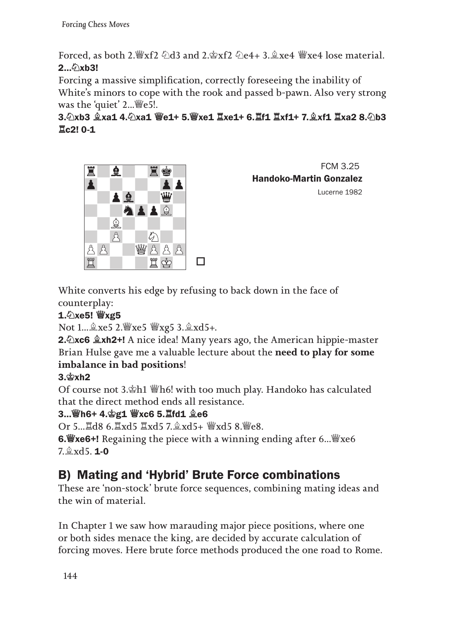Forced, as both 2.♕xf2 ♘d3 and 2.♔xf2 ♘e4+ 3.♗xe4 ♕xe4 lose material.  $2...\&0$ xb $3!$ 

Forcing a massive simplification, correctly foreseeing the inability of White's minors to cope with the rook and passed b-pawn. Also very strong was the 'quiet' 2...♕e5!.

3.♘xb3 ♗xa1 4.♘xa1 ♕e1+ 5.♕xe1 ♖xe1+ 6.♖f1 ♖xf1+ 7.♗xf1 ♖xa2 8.♘b3 ♖c2! 0-1



FCM 3.25 Handoko-Martin Gonzalez Lucerne 1982

White converts his edge by refusing to back down in the face of counterplay:

## 1. 2xe5! *Wxg*5

Not 1...♗xe5 2.♕xe5 ♕xg5 3.♗xd5+.

2.♘xc6 ♗xh2+! A nice idea! Many years ago, the American hippie-master Brian Hulse gave me a valuable lecture about the **need to play for some imbalance in bad positions**!

## 3.♔xh2

Of course not 3.♔h1 ♕h6! with too much play. Handoko has calculated that the direct method ends all resistance.

## 3...♕h6+ 4.♔g1 ♕xc6 5.♖fd1 ♗e6

Or 5...♖d8 6.♖xd5 ♖xd5 7.♗xd5+ ♕xd5 8.♕e8.

**6. wxe6+!** Regaining the piece with a winning ending after 6... wxe6 7.♗xd5. 1-0

# B) Mating and 'Hybrid' Brute Force combinations

These are 'non-stock' brute force sequences, combining mating ideas and the win of material.

In Chapter 1 we saw how marauding major piece positions, where one or both sides menace the king, are decided by accurate calculation of forcing moves. Here brute force methods produced the one road to Rome.